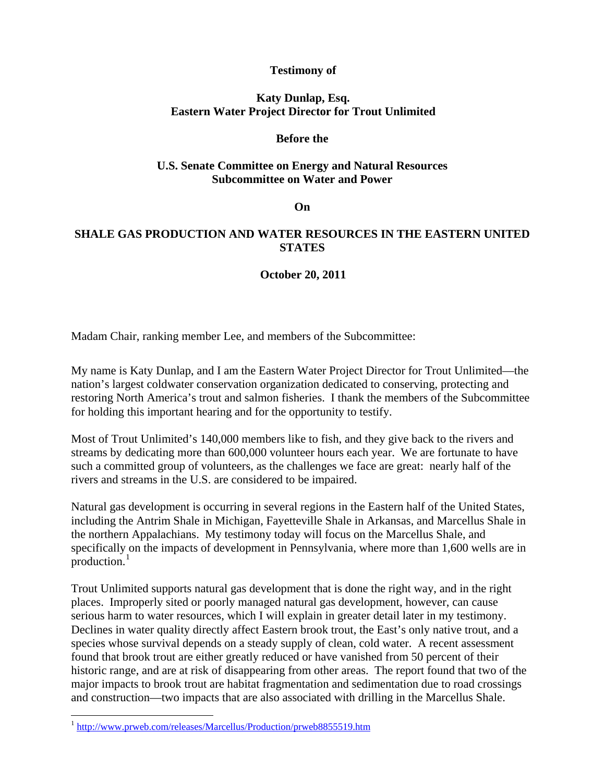## **Testimony of**

## **Katy Dunlap, Esq. Eastern Water Project Director for Trout Unlimited**

### **Before the**

### **U.S. Senate Committee on Energy and Natural Resources Subcommittee on Water and Power**

#### **On**

# **SHALE GAS PRODUCTION AND WATER RESOURCES IN THE EASTERN UNITED STATES**

### **October 20, 2011**

Madam Chair, ranking member Lee, and members of the Subcommittee:

My name is Katy Dunlap, and I am the Eastern Water Project Director for Trout Unlimited—the nation's largest coldwater conservation organization dedicated to conserving, protecting and restoring North America's trout and salmon fisheries. I thank the members of the Subcommittee for holding this important hearing and for the opportunity to testify.

Most of Trout Unlimited's 140,000 members like to fish, and they give back to the rivers and streams by dedicating more than 600,000 volunteer hours each year. We are fortunate to have such a committed group of volunteers, as the challenges we face are great: nearly half of the rivers and streams in the U.S. are considered to be impaired.

Natural gas development is occurring in several regions in the Eastern half of the United States, including the Antrim Shale in Michigan, Fayetteville Shale in Arkansas, and Marcellus Shale in the northern Appalachians. My testimony today will focus on the Marcellus Shale, and specifically on the impacts of development in Pennsylvania, where more than 1,600 wells are in production. $<sup>1</sup>$  $<sup>1</sup>$  $<sup>1</sup>$ </sup>

Trout Unlimited supports natural gas development that is done the right way, and in the right places. Improperly sited or poorly managed natural gas development, however, can cause serious harm to water resources, which I will explain in greater detail later in my testimony. Declines in water quality directly affect Eastern brook trout, the East's only native trout, and a species whose survival depends on a steady supply of clean, cold water. A recent assessment found that brook trout are either greatly reduced or have vanished from 50 percent of their historic range, and are at risk of disappearing from other areas. The report found that two of the major impacts to brook trout are habitat fragmentation and sedimentation due to road crossings and construction—two impacts that are also associated with drilling in the Marcellus Shale.

 $\overline{a}$ 

<span id="page-0-0"></span><sup>1</sup> <http://www.prweb.com/releases/Marcellus/Production/prweb8855519.htm>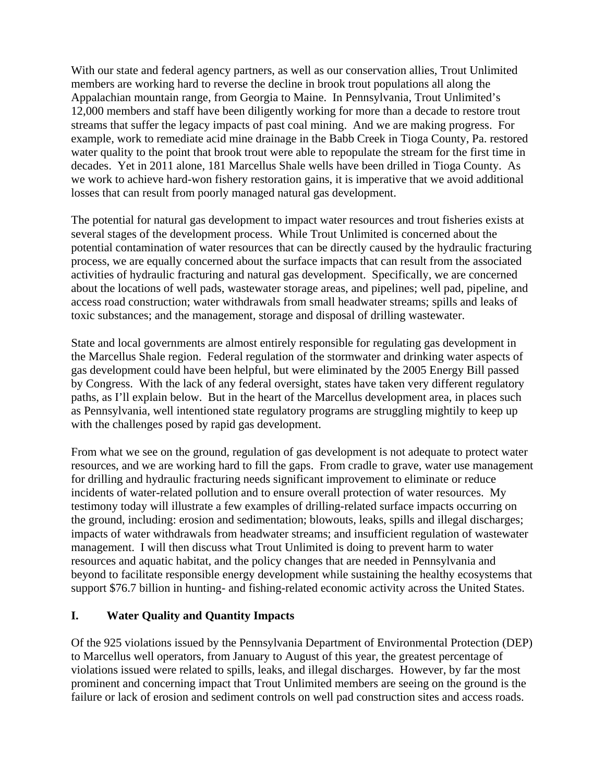With our state and federal agency partners, as well as our conservation allies, Trout Unlimited members are working hard to reverse the decline in brook trout populations all along the Appalachian mountain range, from Georgia to Maine. In Pennsylvania, Trout Unlimited's 12,000 members and staff have been diligently working for more than a decade to restore trout streams that suffer the legacy impacts of past coal mining. And we are making progress. For example, work to remediate acid mine drainage in the Babb Creek in Tioga County, Pa. restored water quality to the point that brook trout were able to repopulate the stream for the first time in decades. Yet in 2011 alone, 181 Marcellus Shale wells have been drilled in Tioga County. As we work to achieve hard-won fishery restoration gains, it is imperative that we avoid additional losses that can result from poorly managed natural gas development.

The potential for natural gas development to impact water resources and trout fisheries exists at several stages of the development process. While Trout Unlimited is concerned about the potential contamination of water resources that can be directly caused by the hydraulic fracturing process, we are equally concerned about the surface impacts that can result from the associated activities of hydraulic fracturing and natural gas development. Specifically, we are concerned about the locations of well pads, wastewater storage areas, and pipelines; well pad, pipeline, and access road construction; water withdrawals from small headwater streams; spills and leaks of toxic substances; and the management, storage and disposal of drilling wastewater.

State and local governments are almost entirely responsible for regulating gas development in the Marcellus Shale region. Federal regulation of the stormwater and drinking water aspects of gas development could have been helpful, but were eliminated by the 2005 Energy Bill passed by Congress. With the lack of any federal oversight, states have taken very different regulatory paths, as I'll explain below. But in the heart of the Marcellus development area, in places such as Pennsylvania, well intentioned state regulatory programs are struggling mightily to keep up with the challenges posed by rapid gas development.

From what we see on the ground, regulation of gas development is not adequate to protect water resources, and we are working hard to fill the gaps. From cradle to grave, water use management for drilling and hydraulic fracturing needs significant improvement to eliminate or reduce incidents of water-related pollution and to ensure overall protection of water resources. My testimony today will illustrate a few examples of drilling-related surface impacts occurring on the ground, including: erosion and sedimentation; blowouts, leaks, spills and illegal discharges; impacts of water withdrawals from headwater streams; and insufficient regulation of wastewater management. I will then discuss what Trout Unlimited is doing to prevent harm to water resources and aquatic habitat, and the policy changes that are needed in Pennsylvania and beyond to facilitate responsible energy development while sustaining the healthy ecosystems that support \$76.7 billion in hunting- and fishing-related economic activity across the United States.

## **I. Water Quality and Quantity Impacts**

Of the 925 violations issued by the Pennsylvania Department of Environmental Protection (DEP) to Marcellus well operators, from January to August of this year, the greatest percentage of violations issued were related to spills, leaks, and illegal discharges. However, by far the most prominent and concerning impact that Trout Unlimited members are seeing on the ground is the failure or lack of erosion and sediment controls on well pad construction sites and access roads.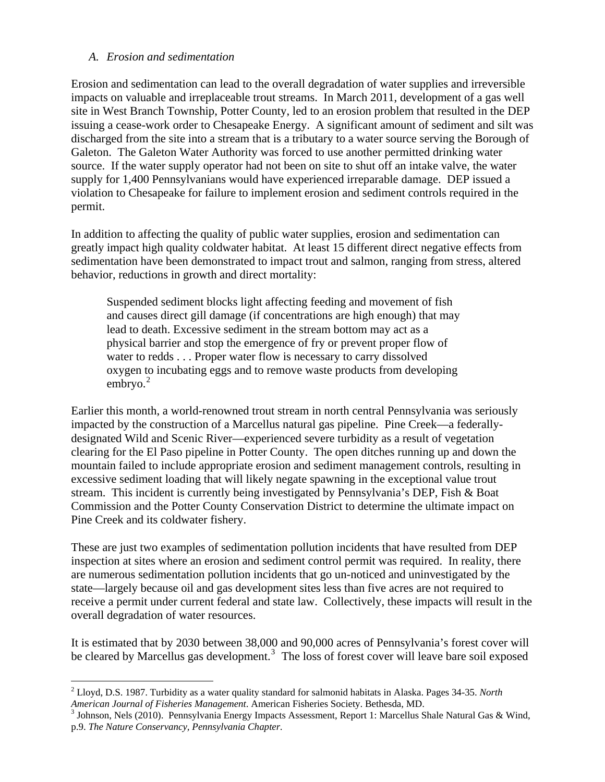#### *A. Erosion and sedimentation*

 $\overline{a}$ 

Erosion and sedimentation can lead to the overall degradation of water supplies and irreversible impacts on valuable and irreplaceable trout streams. In March 2011, development of a gas well site in West Branch Township, Potter County, led to an erosion problem that resulted in the DEP issuing a cease-work order to Chesapeake Energy. A significant amount of sediment and silt was discharged from the site into a stream that is a tributary to a water source serving the Borough of Galeton. The Galeton Water Authority was forced to use another permitted drinking water source. If the water supply operator had not been on site to shut off an intake valve, the water supply for 1,400 Pennsylvanians would have experienced irreparable damage. DEP issued a violation to Chesapeake for failure to implement erosion and sediment controls required in the permit.

In addition to affecting the quality of public water supplies, erosion and sedimentation can greatly impact high quality coldwater habitat. At least 15 different direct negative effects from sedimentation have been demonstrated to impact trout and salmon, ranging from stress, altered behavior, reductions in growth and direct mortality:

Suspended sediment blocks light affecting feeding and movement of fish and causes direct gill damage (if concentrations are high enough) that may lead to death. Excessive sediment in the stream bottom may act as a physical barrier and stop the emergence of fry or prevent proper flow of water to redds . . . Proper water flow is necessary to carry dissolved oxygen to incubating eggs and to remove waste products from developing embryo. $2$ 

Earlier this month, a world-renowned trout stream in north central Pennsylvania was seriously impacted by the construction of a Marcellus natural gas pipeline. Pine Creek—a federallydesignated Wild and Scenic River—experienced severe turbidity as a result of vegetation clearing for the El Paso pipeline in Potter County. The open ditches running up and down the mountain failed to include appropriate erosion and sediment management controls, resulting in excessive sediment loading that will likely negate spawning in the exceptional value trout stream. This incident is currently being investigated by Pennsylvania's DEP, Fish & Boat Commission and the Potter County Conservation District to determine the ultimate impact on Pine Creek and its coldwater fishery.

These are just two examples of sedimentation pollution incidents that have resulted from DEP inspection at sites where an erosion and sediment control permit was required. In reality, there are numerous sedimentation pollution incidents that go un-noticed and uninvestigated by the state—largely because oil and gas development sites less than five acres are not required to receive a permit under current federal and state law. Collectively, these impacts will result in the overall degradation of water resources.

It is estimated that by 2030 between 38,000 and 90,000 acres of Pennsylvania's forest cover will be cleared by Marcellus gas development.<sup>[3](#page-2-1)</sup> The loss of forest cover will leave bare soil exposed

<span id="page-2-0"></span><sup>2</sup> Lloyd, D.S. 1987. Turbidity as a water quality standard for salmonid habitats in Alaska. Pages 34-35. *North* 

<span id="page-2-1"></span>American Journal of Fisheries Management. American Fisheries Society. Bethesda, MD.<br><sup>3</sup> Johnson, Nels (2010). Pennsylvania Energy Impacts Assessment, Report 1: Marcellus Shale Natural Gas & Wind, p.9. *The Nature Conservancy, Pennsylvania Chapter.*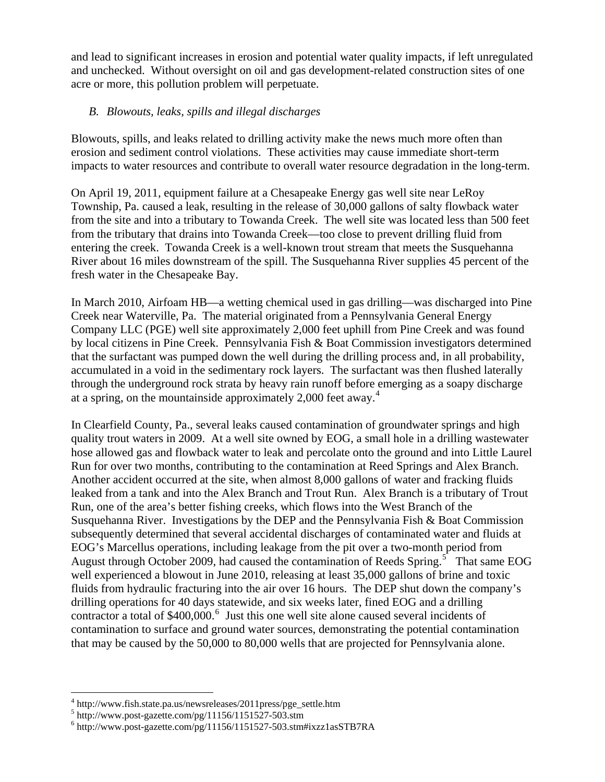and lead to significant increases in erosion and potential water quality impacts, if left unregulated and unchecked. Without oversight on oil and gas development-related construction sites of one acre or more, this pollution problem will perpetuate.

## *B. Blowouts, leaks, spills and illegal discharges*

Blowouts, spills, and leaks related to drilling activity make the news much more often than erosion and sediment control violations. These activities may cause immediate short-term impacts to water resources and contribute to overall water resource degradation in the long-term.

On April 19, 2011, equipment failure at a Chesapeake Energy gas well site near LeRoy Township, Pa. caused a leak, resulting in the release of 30,000 gallons of salty flowback water from the site and into a tributary to Towanda Creek. The well site was located less than 500 feet from the tributary that drains into Towanda Creek—too close to prevent drilling fluid from entering the creek. Towanda Creek is a well-known trout stream that meets the Susquehanna River about 16 miles downstream of the spill. The Susquehanna River supplies 45 percent of the fresh water in the Chesapeake Bay.

In March 2010, Airfoam HB—a wetting chemical used in gas drilling—was discharged into Pine Creek near Waterville, Pa. The material originated from a Pennsylvania General Energy Company LLC (PGE) well site approximately 2,000 feet uphill from Pine Creek and was found by local citizens in Pine Creek. Pennsylvania Fish & Boat Commission investigators determined that the surfactant was pumped down the well during the drilling process and, in all probability, accumulated in a void in the sedimentary rock layers. The surfactant was then flushed laterally through the underground rock strata by heavy rain runoff before emerging as a soapy discharge at a spring, on the mountainside approximately 2,000 feet away.<sup>[4](#page-3-0)</sup>

In Clearfield County, Pa., several leaks caused contamination of groundwater springs and high quality trout waters in 2009. At a well site owned by EOG, a small hole in a drilling wastewater hose allowed gas and flowback water to leak and percolate onto the ground and into Little Laurel Run for over two months, contributing to the contamination at Reed Springs and Alex Branch. Another accident occurred at the site, when almost 8,000 gallons of water and fracking fluids leaked from a tank and into the Alex Branch and Trout Run. Alex Branch is a tributary of Trout Run, one of the area's better fishing creeks, which flows into the West Branch of the Susquehanna River. Investigations by the DEP and the Pennsylvania Fish & Boat Commission subsequently determined that several accidental discharges of contaminated water and fluids at EOG's Marcellus operations, including leakage from the pit over a two-month period from August through October 2009, had caused the contamination of Reeds Spring.<sup>[5](#page-3-1)</sup> That same EOG well experienced a blowout in June 2010, releasing at least 35,000 gallons of brine and toxic fluids from hydraulic fracturing into the air over 16 hours. The DEP shut down the company's drilling operations for 40 days statewide, and six weeks later, fined EOG and a drilling contractor a total of \$400,000.<sup>[6](#page-3-2)</sup> Just this one well site alone caused several incidents of contamination to surface and ground water sources, demonstrating the potential contamination that may be caused by the 50,000 to 80,000 wells that are projected for Pennsylvania alone.

 $\overline{a}$ 

<sup>4</sup> http://www.fish.state.pa.us/newsreleases/2011press/pge\_settle.htm

<span id="page-3-1"></span><span id="page-3-0"></span> $^{5}$  http://www.post-gazette.com/pg/11156/1151527-503.stm

<span id="page-3-2"></span> $6$  http://www.post-gazette.com/pg/11156/1151527-503.stm#ixzz1asSTB7RA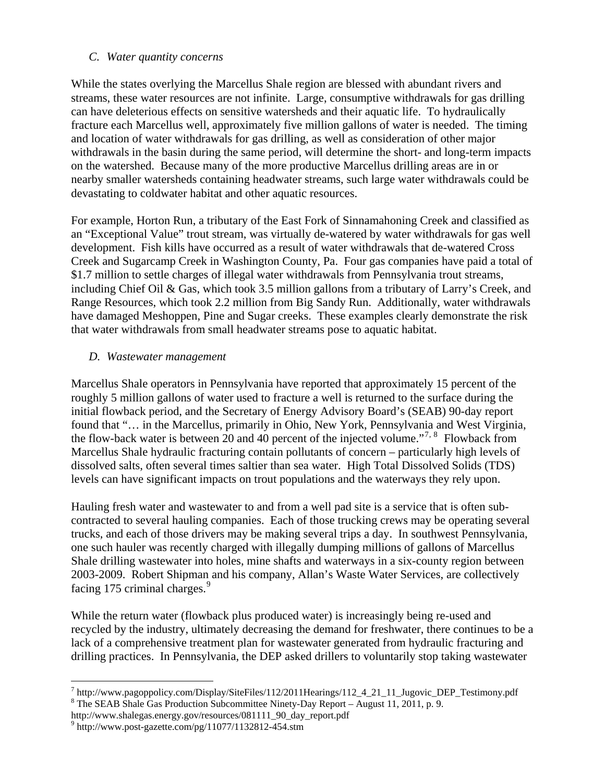### *C. Water quantity concerns*

While the states overlying the Marcellus Shale region are blessed with abundant rivers and streams, these water resources are not infinite. Large, consumptive withdrawals for gas drilling can have deleterious effects on sensitive watersheds and their aquatic life. To hydraulically fracture each Marcellus well, approximately five million gallons of water is needed. The timing and location of water withdrawals for gas drilling, as well as consideration of other major withdrawals in the basin during the same period, will determine the short- and long-term impacts on the watershed. Because many of the more productive Marcellus drilling areas are in or nearby smaller watersheds containing headwater streams, such large water withdrawals could be devastating to coldwater habitat and other aquatic resources.

For example, Horton Run, a tributary of the East Fork of Sinnamahoning Creek and classified as an "Exceptional Value" trout stream, was virtually de-watered by water withdrawals for gas well development. Fish kills have occurred as a result of water withdrawals that de-watered Cross Creek and Sugarcamp Creek in Washington County, Pa. Four gas companies have paid a total of \$1.7 million to settle charges of illegal water withdrawals from Pennsylvania trout streams, including Chief Oil & Gas, which took 3.5 million gallons from a tributary of Larry's Creek, and Range Resources, which took 2.2 million from Big Sandy Run. Additionally, water withdrawals have damaged Meshoppen, Pine and Sugar creeks. These examples clearly demonstrate the risk that water withdrawals from small headwater streams pose to aquatic habitat.

### *D. Wastewater management*

Marcellus Shale operators in Pennsylvania have reported that approximately 15 percent of the roughly 5 million gallons of water used to fracture a well is returned to the surface during the initial flowback period, and the Secretary of Energy Advisory Board's (SEAB) 90-day report found that "... in the Marcellus, primarily in Ohio, New York, Pennsylvania and West Virginia, the flow-back water is between 20 and 40 percent of the injected volume."<sup>[7](#page-4-0), [8](#page-4-1)</sup> Flowback from Marcellus Shale hydraulic fracturing contain pollutants of concern – particularly high levels of dissolved salts, often several times saltier than sea water. High Total Dissolved Solids (TDS) levels can have significant impacts on trout populations and the waterways they rely upon.

Hauling fresh water and wastewater to and from a well pad site is a service that is often subcontracted to several hauling companies. Each of those trucking crews may be operating several trucks, and each of those drivers may be making several trips a day. In southwest Pennsylvania, one such hauler was recently charged with illegally dumping millions of gallons of Marcellus Shale drilling wastewater into holes, mine shafts and waterways in a six-county region between 2003-2009. Robert Shipman and his company, Allan's Waste Water Services, are collectively facing 175 criminal charges. $9$ 

While the return water (flowback plus produced water) is increasingly being re-used and recycled by the industry, ultimately decreasing the demand for freshwater, there continues to be a lack of a comprehensive treatment plan for wastewater generated from hydraulic fracturing and drilling practices. In Pennsylvania, the DEP asked drillers to voluntarily stop taking wastewater

 $\overline{a}$ 

<span id="page-4-0"></span> $^7$  http://www.pagoppolicy.com/Display/SiteFiles/112/2011Hearings/112\_4\_21\_11\_Jugovic\_DEP\_Testimony.pdf  $^8$  The SEAR Shele Ges Production Subcommittee Ninety Day Benert August 11, 2011 n. 0. The SEAB Shale Gas Production Subcommittee Ninety-Day Report – August 11, 2011, p. 9.

<span id="page-4-1"></span>http://www.shalegas.energy.gov/resources/081111\_90\_day\_report.pdf 9

<span id="page-4-2"></span> $9$  http://www.post-gazette.com/pg/11077/1132812-454.stm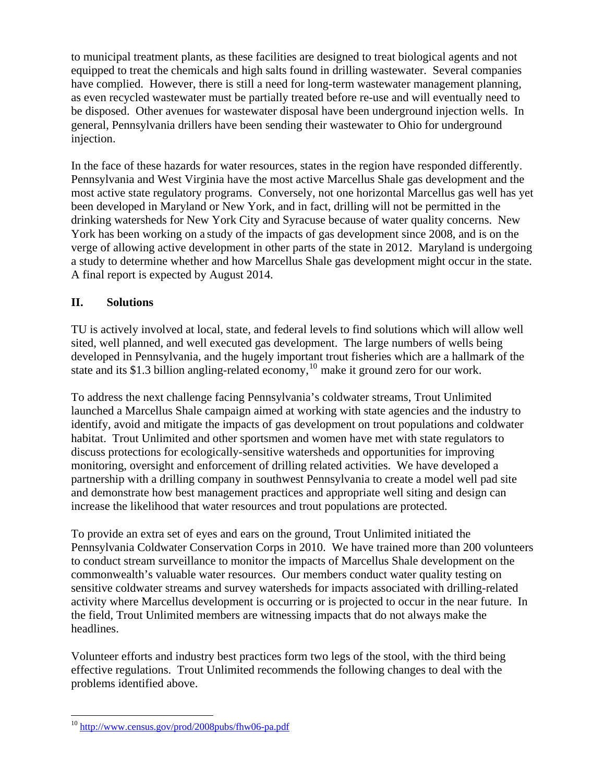to municipal treatment plants, as these facilities are designed to treat biological agents and not equipped to treat the chemicals and high salts found in drilling wastewater. Several companies have complied. However, there is still a need for long-term wastewater management planning, as even recycled wastewater must be partially treated before re-use and will eventually need to be disposed. Other avenues for wastewater disposal have been underground injection wells. In general, Pennsylvania drillers have been sending their wastewater to Ohio for underground injection.

In the face of these hazards for water resources, states in the region have responded differently. Pennsylvania and West Virginia have the most active Marcellus Shale gas development and the most active state regulatory programs. Conversely, not one horizontal Marcellus gas well has yet been developed in Maryland or New York, and in fact, drilling will not be permitted in the drinking watersheds for New York City and Syracuse because of water quality concerns. New York has been working on a study of the impacts of gas development since 2008, and is on the verge of allowing active development in other parts of the state in 2012. Maryland is undergoing a study to determine whether and how Marcellus Shale gas development might occur in the state. A final report is expected by August 2014.

# **II. Solutions**

TU is actively involved at local, state, and federal levels to find solutions which will allow well sited, well planned, and well executed gas development. The large numbers of wells being developed in Pennsylvania, and the hugely important trout fisheries which are a hallmark of the state and its \$1.3 billion angling-related economy,<sup>[10](#page-5-0)</sup> make it ground zero for our work.

To address the next challenge facing Pennsylvania's coldwater streams, Trout Unlimited launched a Marcellus Shale campaign aimed at working with state agencies and the industry to identify, avoid and mitigate the impacts of gas development on trout populations and coldwater habitat. Trout Unlimited and other sportsmen and women have met with state regulators to discuss protections for ecologically-sensitive watersheds and opportunities for improving monitoring, oversight and enforcement of drilling related activities. We have developed a partnership with a drilling company in southwest Pennsylvania to create a model well pad site and demonstrate how best management practices and appropriate well siting and design can increase the likelihood that water resources and trout populations are protected.

To provide an extra set of eyes and ears on the ground, Trout Unlimited initiated the Pennsylvania Coldwater Conservation Corps in 2010. We have trained more than 200 volunteers to conduct stream surveillance to monitor the impacts of Marcellus Shale development on the commonwealth's valuable water resources. Our members conduct water quality testing on sensitive coldwater streams and survey watersheds for impacts associated with drilling-related activity where Marcellus development is occurring or is projected to occur in the near future. In the field, Trout Unlimited members are witnessing impacts that do not always make the headlines.

Volunteer efforts and industry best practices form two legs of the stool, with the third being effective regulations. Trout Unlimited recommends the following changes to deal with the problems identified above.

<span id="page-5-0"></span> $\overline{a}$ <sup>10</sup> <http://www.census.gov/prod/2008pubs/fhw06-pa.pdf>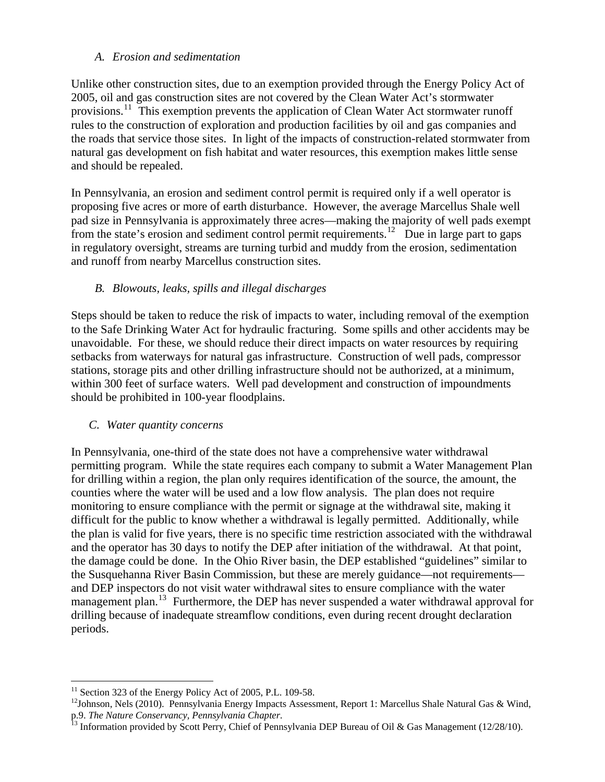### *A. Erosion and sedimentation*

Unlike other construction sites, due to an exemption provided through the Energy Policy Act of 2005, oil and gas construction sites are not covered by the Clean Water Act's stormwater provisions.<sup>[11](#page-6-0)</sup> This exemption prevents the application of Clean Water Act stormwater runoff rules to the construction of exploration and production facilities by oil and gas companies and the roads that service those sites. In light of the impacts of construction-related stormwater from natural gas development on fish habitat and water resources, this exemption makes little sense and should be repealed.

In Pennsylvania, an erosion and sediment control permit is required only if a well operator is proposing five acres or more of earth disturbance. However, the average Marcellus Shale well pad size in Pennsylvania is approximately three acres—making the majority of well pads exempt from the state's erosion and sediment control permit requirements.<sup>[12](#page-6-1)</sup> Due in large part to gaps in regulatory oversight, streams are turning turbid and muddy from the erosion, sedimentation and runoff from nearby Marcellus construction sites.

# *B. Blowouts, leaks, spills and illegal discharges*

Steps should be taken to reduce the risk of impacts to water, including removal of the exemption to the Safe Drinking Water Act for hydraulic fracturing. Some spills and other accidents may be unavoidable. For these, we should reduce their direct impacts on water resources by requiring setbacks from waterways for natural gas infrastructure. Construction of well pads, compressor stations, storage pits and other drilling infrastructure should not be authorized, at a minimum, within 300 feet of surface waters. Well pad development and construction of impoundments should be prohibited in 100-year floodplains.

## *C. Water quantity concerns*

In Pennsylvania, one-third of the state does not have a comprehensive water withdrawal permitting program. While the state requires each company to submit a Water Management Plan for drilling within a region, the plan only requires identification of the source, the amount, the counties where the water will be used and a low flow analysis. The plan does not require monitoring to ensure compliance with the permit or signage at the withdrawal site, making it difficult for the public to know whether a withdrawal is legally permitted. Additionally, while the plan is valid for five years, there is no specific time restriction associated with the withdrawal and the operator has 30 days to notify the DEP after initiation of the withdrawal. At that point, the damage could be done. In the Ohio River basin, the DEP established "guidelines" similar to the Susquehanna River Basin Commission, but these are merely guidance—not requirements and DEP inspectors do not visit water withdrawal sites to ensure compliance with the water management plan.<sup>[13](#page-6-2)</sup> Furthermore, the DEP has never suspended a water withdrawal approval for drilling because of inadequate streamflow conditions, even during recent drought declaration periods.

 $\overline{a}$  $11$  Section 323 of the Energy Policy Act of 2005, P.L. 109-58.

<span id="page-6-1"></span><span id="page-6-0"></span><sup>&</sup>lt;sup>12</sup>Johnson, Nels (2010). Pennsylvania Energy Impacts Assessment, Report 1: Marcellus Shale Natural Gas & Wind, p.9. *The Nature Conservancy, Pennsylvania Chapter*.<br><sup>13</sup> Information provided by Scott Perry, Chief of Pennsylvania DEP Bureau of Oil & Gas Management (12/28/10).

<span id="page-6-2"></span>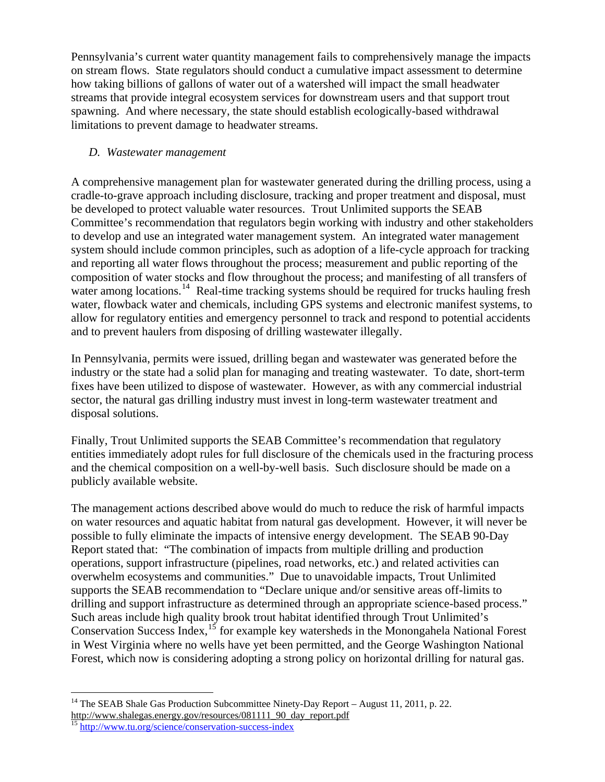Pennsylvania's current water quantity management fails to comprehensively manage the impacts on stream flows. State regulators should conduct a cumulative impact assessment to determine how taking billions of gallons of water out of a watershed will impact the small headwater streams that provide integral ecosystem services for downstream users and that support trout spawning. And where necessary, the state should establish ecologically-based withdrawal limitations to prevent damage to headwater streams.

## *D. Wastewater management*

A comprehensive management plan for wastewater generated during the drilling process, using a cradle-to-grave approach including disclosure, tracking and proper treatment and disposal, must be developed to protect valuable water resources. Trout Unlimited supports the SEAB Committee's recommendation that regulators begin working with industry and other stakeholders to develop and use an integrated water management system. An integrated water management system should include common principles, such as adoption of a life-cycle approach for tracking and reporting all water flows throughout the process; measurement and public reporting of the composition of water stocks and flow throughout the process; and manifesting of all transfers of water among locations.<sup>[14](#page-7-0)</sup> Real-time tracking systems should be required for trucks hauling fresh water, flowback water and chemicals, including GPS systems and electronic manifest systems, to allow for regulatory entities and emergency personnel to track and respond to potential accidents and to prevent haulers from disposing of drilling wastewater illegally.

In Pennsylvania, permits were issued, drilling began and wastewater was generated before the industry or the state had a solid plan for managing and treating wastewater. To date, short-term fixes have been utilized to dispose of wastewater. However, as with any commercial industrial sector, the natural gas drilling industry must invest in long-term wastewater treatment and disposal solutions.

Finally, Trout Unlimited supports the SEAB Committee's recommendation that regulatory entities immediately adopt rules for full disclosure of the chemicals used in the fracturing process and the chemical composition on a well-by-well basis. Such disclosure should be made on a publicly available website.

The management actions described above would do much to reduce the risk of harmful impacts on water resources and aquatic habitat from natural gas development. However, it will never be possible to fully eliminate the impacts of intensive energy development. The SEAB 90-Day Report stated that: "The combination of impacts from multiple drilling and production operations, support infrastructure (pipelines, road networks, etc.) and related activities can overwhelm ecosystems and communities." Due to unavoidable impacts, Trout Unlimited supports the SEAB recommendation to "Declare unique and/or sensitive areas off-limits to drilling and support infrastructure as determined through an appropriate science-based process." Such areas include high quality brook trout habitat identified through Trout Unlimited's Conservation Success Index,  $15$  for example key watersheds in the Monongahela National Forest in West Virginia where no wells have yet been permitted, and the George Washington National Forest, which now is considering adopting a strong policy on horizontal drilling for natural gas.

 $\overline{a}$ <sup>14</sup> The SEAB Shale Gas Production Subcommittee Ninety-Day Report – August 11, 2011, p. 22.

<span id="page-7-1"></span><span id="page-7-0"></span>http://www.shalegas.energy.gov/resources/081111\_90\_day\_report.pdf<br><sup>15</sup> <http://www.tu.org/science/conservation-success-index>